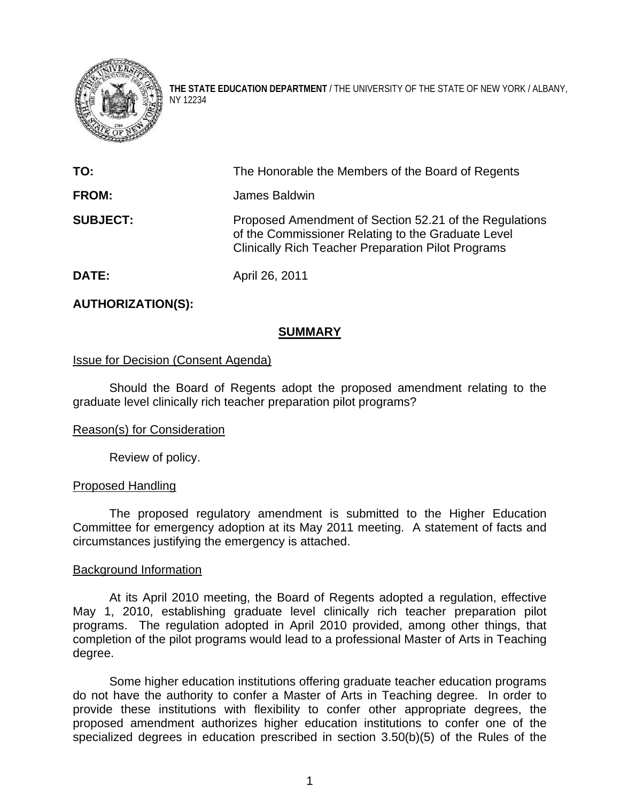

**THE STATE EDUCATION DEPARTMENT** / THE UNIVERSITY OF THE STATE OF NEW YORK / ALBANY, NY 12234

| TO:             | The Honorable the Members of the Board of Regents                                                                                                                         |
|-----------------|---------------------------------------------------------------------------------------------------------------------------------------------------------------------------|
| <b>FROM:</b>    | James Baldwin                                                                                                                                                             |
| <b>SUBJECT:</b> | Proposed Amendment of Section 52.21 of the Regulations<br>of the Commissioner Relating to the Graduate Level<br><b>Clinically Rich Teacher Preparation Pilot Programs</b> |
| DATE:           | April 26, 2011                                                                                                                                                            |

# **AUTHORIZATION(S):**

### **SUMMARY**

## Issue for Decision (Consent Agenda)

Should the Board of Regents adopt the proposed amendment relating to the graduate level clinically rich teacher preparation pilot programs?

#### Reason(s) for Consideration

Review of policy.

#### Proposed Handling

The proposed regulatory amendment is submitted to the Higher Education Committee for emergency adoption at its May 2011 meeting. A statement of facts and circumstances justifying the emergency is attached.

#### Background Information

At its April 2010 meeting, the Board of Regents adopted a regulation, effective May 1, 2010, establishing graduate level clinically rich teacher preparation pilot programs. The regulation adopted in April 2010 provided, among other things, that completion of the pilot programs would lead to a professional Master of Arts in Teaching degree.

Some higher education institutions offering graduate teacher education programs do not have the authority to confer a Master of Arts in Teaching degree. In order to provide these institutions with flexibility to confer other appropriate degrees, the proposed amendment authorizes higher education institutions to confer one of the specialized degrees in education prescribed in section 3.50(b)(5) of the Rules of the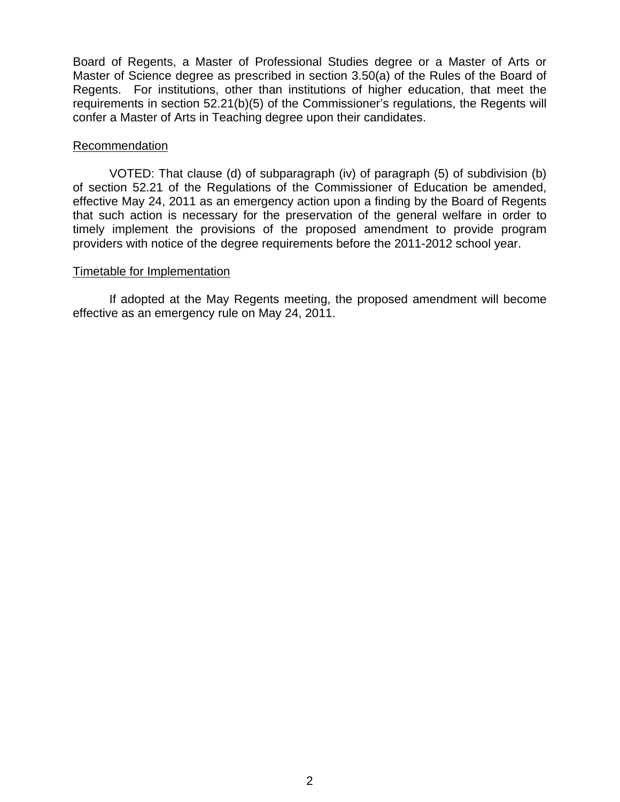Board of Regents, a Master of Professional Studies degree or a Master of Arts or Master of Science degree as prescribed in section 3.50(a) of the Rules of the Board of Regents. For institutions, other than institutions of higher education, that meet the requirements in section 52.21(b)(5) of the Commissioner's regulations, the Regents will confer a Master of Arts in Teaching degree upon their candidates.

## Recommendation

VOTED: That clause (d) of subparagraph (iv) of paragraph (5) of subdivision (b) of section 52.21 of the Regulations of the Commissioner of Education be amended, effective May 24, 2011 as an emergency action upon a finding by the Board of Regents that such action is necessary for the preservation of the general welfare in order to timely implement the provisions of the proposed amendment to provide program providers with notice of the degree requirements before the 2011-2012 school year.

### Timetable for Implementation

 If adopted at the May Regents meeting, the proposed amendment will become effective as an emergency rule on May 24, 2011.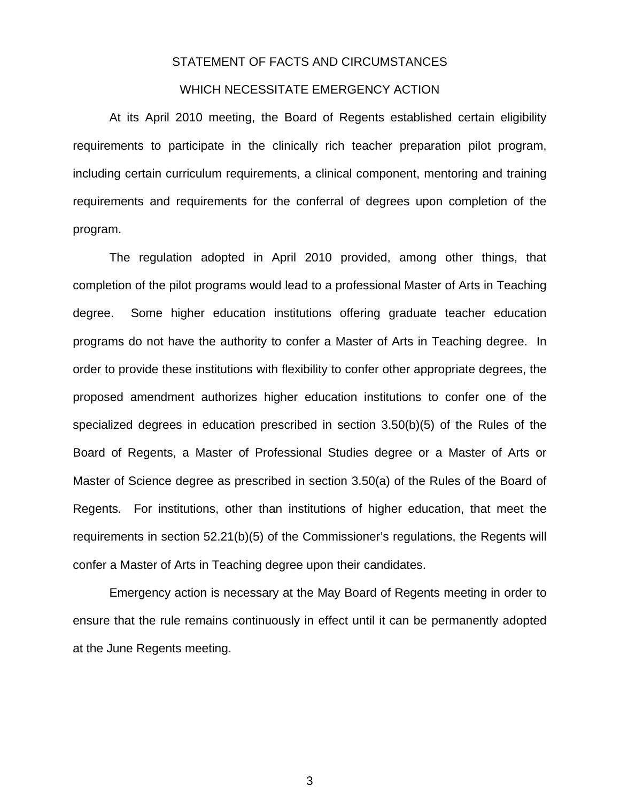#### STATEMENT OF FACTS AND CIRCUMSTANCES

## WHICH NECESSITATE EMERGENCY ACTION

 At its April 2010 meeting, the Board of Regents established certain eligibility requirements to participate in the clinically rich teacher preparation pilot program, including certain curriculum requirements, a clinical component, mentoring and training requirements and requirements for the conferral of degrees upon completion of the program.

The regulation adopted in April 2010 provided, among other things, that completion of the pilot programs would lead to a professional Master of Arts in Teaching degree. Some higher education institutions offering graduate teacher education programs do not have the authority to confer a Master of Arts in Teaching degree. In order to provide these institutions with flexibility to confer other appropriate degrees, the proposed amendment authorizes higher education institutions to confer one of the specialized degrees in education prescribed in section 3.50(b)(5) of the Rules of the Board of Regents, a Master of Professional Studies degree or a Master of Arts or Master of Science degree as prescribed in section 3.50(a) of the Rules of the Board of Regents. For institutions, other than institutions of higher education, that meet the requirements in section 52.21(b)(5) of the Commissioner's regulations, the Regents will confer a Master of Arts in Teaching degree upon their candidates.

Emergency action is necessary at the May Board of Regents meeting in order to ensure that the rule remains continuously in effect until it can be permanently adopted at the June Regents meeting.

3